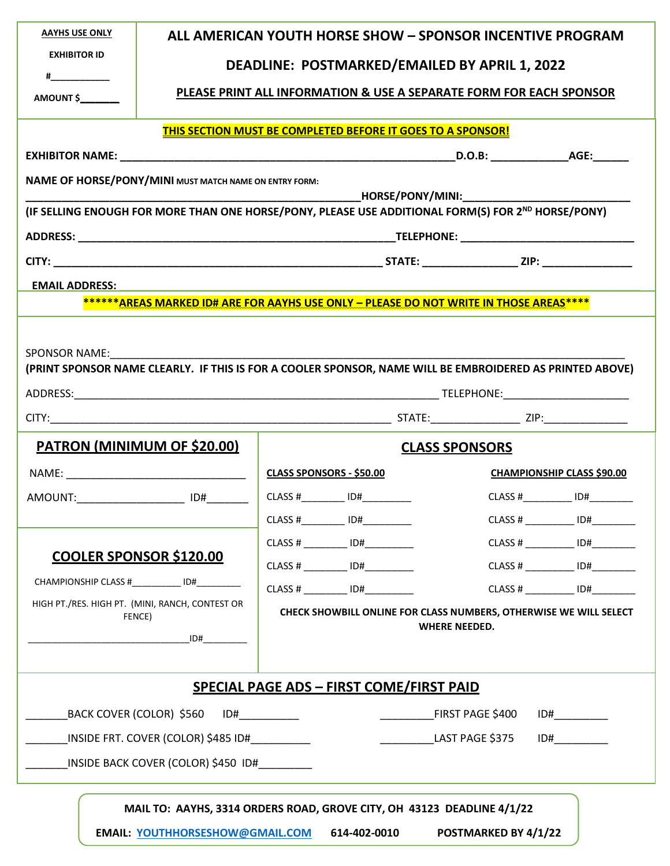| <b>AAYHS USE ONLY</b>                                       |                                                                        |  |                                                             | ALL AMERICAN YOUTH HORSE SHOW - SPONSOR INCENTIVE PROGRAM                                                                                                                                          |                                    |
|-------------------------------------------------------------|------------------------------------------------------------------------|--|-------------------------------------------------------------|----------------------------------------------------------------------------------------------------------------------------------------------------------------------------------------------------|------------------------------------|
| <b>EXHIBITOR ID</b>                                         | DEADLINE: POSTMARKED/EMAILED BY APRIL 1, 2022                          |  |                                                             |                                                                                                                                                                                                    |                                    |
| $\#$ and $\#$                                               | PLEASE PRINT ALL INFORMATION & USE A SEPARATE FORM FOR EACH SPONSOR    |  |                                                             |                                                                                                                                                                                                    |                                    |
| AMOUNT \$                                                   |                                                                        |  |                                                             |                                                                                                                                                                                                    |                                    |
|                                                             |                                                                        |  | THIS SECTION MUST BE COMPLETED BEFORE IT GOES TO A SPONSOR! |                                                                                                                                                                                                    |                                    |
|                                                             |                                                                        |  |                                                             |                                                                                                                                                                                                    |                                    |
|                                                             | NAME OF HORSE/PONY/MINI MUST MATCH NAME ON ENTRY FORM:                 |  |                                                             |                                                                                                                                                                                                    |                                    |
|                                                             |                                                                        |  |                                                             | _________________________________HORSE/PONY/MINI:_______________________________<br>(IF SELLING ENOUGH FOR MORE THAN ONE HORSE/PONY, PLEASE USE ADDITIONAL FORM(S) FOR 2 <sup>ND</sup> HORSE/PONY) |                                    |
|                                                             |                                                                        |  |                                                             |                                                                                                                                                                                                    |                                    |
|                                                             |                                                                        |  |                                                             |                                                                                                                                                                                                    |                                    |
| <b>EMAIL ADDRESS:</b>                                       |                                                                        |  |                                                             |                                                                                                                                                                                                    |                                    |
|                                                             |                                                                        |  |                                                             | ******AREAS MARKED ID# ARE FOR AAYHS USE ONLY - PLEASE DO NOT WRITE IN THOSE AREAS****                                                                                                             |                                    |
|                                                             |                                                                        |  |                                                             |                                                                                                                                                                                                    |                                    |
|                                                             |                                                                        |  |                                                             | (PRINT SPONSOR NAME CLEARLY. IF THIS IS FOR A COOLER SPONSOR, NAME WILL BE EMBROIDERED AS PRINTED ABOVE)                                                                                           |                                    |
|                                                             |                                                                        |  |                                                             |                                                                                                                                                                                                    |                                    |
|                                                             |                                                                        |  |                                                             |                                                                                                                                                                                                    |                                    |
| <b>PATRON (MINIMUM OF \$20.00)</b><br><b>CLASS SPONSORS</b> |                                                                        |  |                                                             |                                                                                                                                                                                                    |                                    |
|                                                             |                                                                        |  | <b>CLASS SPONSORS - \$50.00</b>                             |                                                                                                                                                                                                    |                                    |
|                                                             |                                                                        |  |                                                             |                                                                                                                                                                                                    | <b>CHAMPIONSHIP CLASS \$90.00</b>  |
| AMOUNT:                                                     |                                                                        |  | $CLASS #$ $ID#$ $ID#$                                       |                                                                                                                                                                                                    | CLASS #_____________ ID#__________ |
|                                                             |                                                                        |  | CLASS # ID#                                                 |                                                                                                                                                                                                    | CLASS # ____________ ID#_________  |
|                                                             |                                                                        |  | $CLASS #$ $ID#$                                             |                                                                                                                                                                                                    | $CLASS #$ $ID#$                    |
|                                                             | <b>COOLER SPONSOR \$120.00</b>                                         |  | $CLASS #$ $ID#$                                             |                                                                                                                                                                                                    | CLASS # ____________ ID#__________ |
|                                                             | CHAMPIONSHIP CLASS # ID#                                               |  | CLASS # $\qquad \qquad$ ID#                                 |                                                                                                                                                                                                    | $CLASS #$ $ID#$                    |
|                                                             | HIGH PT./RES. HIGH PT. (MINI, RANCH, CONTEST OR<br>FENCE)              |  |                                                             | CHECK SHOWBILL ONLINE FOR CLASS NUMBERS, OTHERWISE WE WILL SELECT                                                                                                                                  |                                    |
|                                                             | ID#                                                                    |  |                                                             | <b>WHERE NEEDED.</b>                                                                                                                                                                               |                                    |
|                                                             |                                                                        |  |                                                             |                                                                                                                                                                                                    |                                    |
|                                                             |                                                                        |  | <u> SPECIAL PAGE ADS - FIRST COME/FIRST PAID</u>            |                                                                                                                                                                                                    |                                    |
|                                                             |                                                                        |  | <u>and the state</u>                                        | FIRST PAGE \$400                                                                                                                                                                                   |                                    |
|                                                             | INSIDE FRT. COVER (COLOR) \$485 ID#                                    |  |                                                             | <b>LAST PAGE \$375</b>                                                                                                                                                                             | ID#                                |
|                                                             | INSIDE BACK COVER (COLOR) \$450 ID#_________                           |  |                                                             |                                                                                                                                                                                                    |                                    |
|                                                             |                                                                        |  |                                                             |                                                                                                                                                                                                    |                                    |
|                                                             | MAIL TO: AAYHS, 3314 ORDERS ROAD, GROVE CITY, OH 43123 DEADLINE 4/1/22 |  |                                                             |                                                                                                                                                                                                    |                                    |